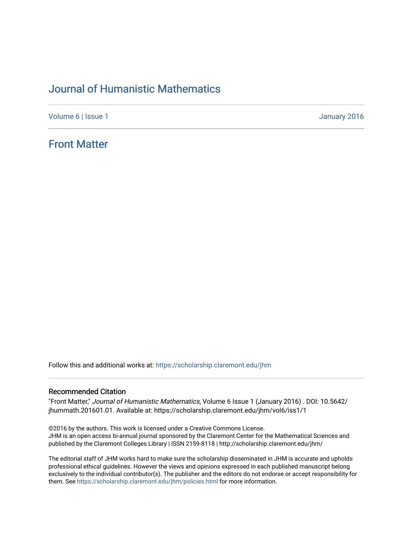# [Journal of Humanistic Mathematics](https://scholarship.claremont.edu/jhm)

[Volume 6](https://scholarship.claremont.edu/jhm/vol6) | [Issue 1](https://scholarship.claremont.edu/jhm/vol6/iss1) January 2016

# [Front Matter](https://scholarship.claremont.edu/jhm/vol6/iss1/1)

Follow this and additional works at: [https://scholarship.claremont.edu/jhm](https://scholarship.claremont.edu/jhm?utm_source=scholarship.claremont.edu%2Fjhm%2Fvol6%2Fiss1%2F1&utm_medium=PDF&utm_campaign=PDFCoverPages)

### Recommended Citation

"Front Matter," Journal of Humanistic Mathematics, Volume 6 Issue 1 (January 2016) . DOI: 10.5642/ jhummath.201601.01. Available at: https://scholarship.claremont.edu/jhm/vol6/iss1/1

©2016 by the authors. This work is licensed under a Creative Commons License. JHM is an open access bi-annual journal sponsored by the Claremont Center for the Mathematical Sciences and published by the Claremont Colleges Library | ISSN 2159-8118 | http://scholarship.claremont.edu/jhm/

The editorial staff of JHM works hard to make sure the scholarship disseminated in JHM is accurate and upholds professional ethical guidelines. However the views and opinions expressed in each published manuscript belong exclusively to the individual contributor(s). The publisher and the editors do not endorse or accept responsibility for them. See<https://scholarship.claremont.edu/jhm/policies.html> for more information.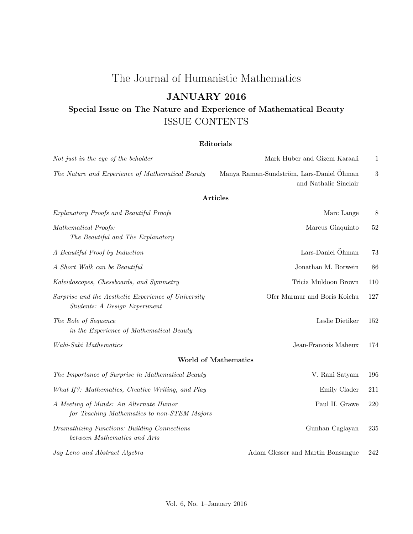# The Journal of Humanistic Mathematics

# JANUARY 2016

# Special Issue on The Nature and Experience of Mathematical Beauty ISSUE CONTENTS

## Editorials

| Not just in the eye of the beholder                                                   | Mark Huber and Gizem Karaali                                      | $\mathbf{1}$ |
|---------------------------------------------------------------------------------------|-------------------------------------------------------------------|--------------|
| The Nature and Experience of Mathematical Beauty                                      | Manya Raman-Sundström, Lars-Daniel Öhman<br>and Nathalie Sinclair | 3            |
|                                                                                       | <b>Articles</b>                                                   |              |
| Explanatory Proofs and Beautiful Proofs                                               | Marc Lange                                                        | 8            |
| Mathematical Proofs:<br>The Beautiful and The Explanatory                             | Marcus Giaquinto                                                  | 52           |
| A Beautiful Proof by Induction                                                        | Lars-Daniel Öhman                                                 | 73           |
| A Short Walk can be Beautiful                                                         | Jonathan M. Borwein                                               | 86           |
| Kaleidoscopes, Chessboards, and Symmetry                                              | Tricia Muldoon Brown                                              | 110          |
| Surprise and the Aesthetic Experience of University<br>Students: A Design Experiment  | Ofer Marmur and Boris Koichu                                      | 127          |
| The Role of Sequence<br>in the Experience of Mathematical Beauty                      | Leslie Dietiker                                                   | 152          |
| Wabi-Sabi Mathematics                                                                 | Jean-Francois Maheux                                              | 174          |
|                                                                                       | <b>World of Mathematics</b>                                       |              |
| The Importance of Surprise in Mathematical Beauty                                     | V. Rani Satyam                                                    | 196          |
| What If?: Mathematics, Creative Writing, and Play                                     | Emily Clader                                                      | 211          |
| A Meeting of Minds: An Alternate Humor<br>for Teaching Mathematics to non-STEM Majors | Paul H. Grawe                                                     | 220          |
| Dramathizing Functions: Building Connections<br>between Mathematics and Arts          | Gunhan Caglayan                                                   | 235          |
| Jay Leno and Abstract Algebra                                                         | Adam Glesser and Martin Bonsangue                                 | 242          |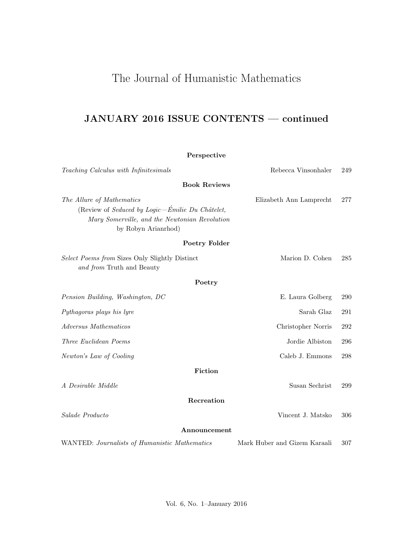# The Journal of Humanistic Mathematics

# JANUARY 2016 ISSUE CONTENTS — continued

## Perspective

| Teaching Calculus with Infinitesimals                                                                                                                | Rebecca Vinsonhaler          | 249     |
|------------------------------------------------------------------------------------------------------------------------------------------------------|------------------------------|---------|
| <b>Book Reviews</b>                                                                                                                                  |                              |         |
| The Allure of Mathematics<br>(Review of Seduced by Logic-Émilie Du Châtelet,<br>Mary Somerville, and the Newtonian Revolution<br>by Robyn Arianrhod) | Elizabeth Ann Lamprecht      | 277     |
| Poetry Folder                                                                                                                                        |                              |         |
| Select Poems from Sizes Only Slightly Distinct<br>and from Truth and Beauty                                                                          | Marion D. Cohen              | 285     |
| Poetry                                                                                                                                               |                              |         |
| Pension Building, Washington, DC                                                                                                                     | E. Laura Golberg             | 290     |
| Pythagoras plays his lyre                                                                                                                            | Sarah Glaz                   | 291     |
| Adversus Mathematicos                                                                                                                                | Christopher Norris           | 292     |
| Three Euclidean Poems                                                                                                                                | Jordie Albiston              | 296     |
| Newton's Law of Cooling                                                                                                                              | Caleb J. Emmons              | $\,298$ |
| Fiction                                                                                                                                              |                              |         |
| A Desirable Middle                                                                                                                                   | Susan Sechrist               | 299     |
| Recreation                                                                                                                                           |                              |         |
| Salade Producto                                                                                                                                      | Vincent J. Matsko            | 306     |
| Announcement                                                                                                                                         |                              |         |
| WANTED: Journalists of Humanistic Mathematics                                                                                                        | Mark Huber and Gizem Karaali | 307     |